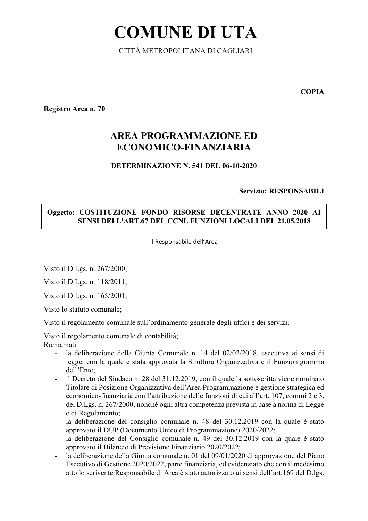# **COMUNE DI UTA**

CITTÀ METROPOLITANA DI CAGLIARI

**COPIA** 

Registro Area n. 70

# **AREA PROGRAMMAZIONE ED** ECONOMICO-FINANZIARIA

### DETERMINAZIONE N. 541 DEL 06-10-2020

**Servizio: RESPONSABILI** 

# Oggetto: COSTITUZIONE FONDO RISORSE DECENTRATE ANNO 2020 AI SENSI DELL'ART.67 DEL CCNL FUNZIONI LOCALI DEL 21.05.2018

Il Responsabile dell'Area

Visto il D.Lgs. n. 267/2000;

Visto il D.Lgs. n. 118/2011;

Visto il D.Lgs. n. 165/2001;

Visto lo statuto comunale;

Visto il regolamento comunale sull'ordinamento generale degli uffici e dei servizi;

Visto il regolamento comunale di contabilità;

Richiamati

- la deliberazione della Giunta Comunale n. 14 del 02/02/2018, esecutiva ai sensi di legge, con la quale è stata approvata la Struttura Organizzativa e il Funzionigramma dell'Ente:
- il Decreto del Sindaco n. 28 del 31.12.2019, con il quale la sottoscritta viene nominato  $\Delta \sim 10^4$ Titolare di Posizione Organizzativa dell'Area Programmazione e gestione strategica ed economico-finanziaria con l'attribuzione delle funzioni di cui all'art. 107, commi 2 e 3, del D.Lgs. n. 267/2000, nonché ogni altra competenza prevista in base a norma di Legge e di Regolamento:
- la deliberazione del consiglio comunale n. 48 del 30.12.2019 con la quale è stato approvato il DUP (Documento Unico di Programmazione) 2020/2022:
- la deliberazione del Consiglio comunale n. 49 del 30.12.2019 con la quale è stato approvato il Bilancio di Previsione Finanziario 2020/2022;
- la deliberazione della Giunta comunale n. 01 del 09/01/2020 di approvazione del Piano Esecutivo di Gestione 2020/2022, parte finanziaria, ed evidenziato che con il medesimo atto lo scrivente Responsabile di Area è stato autorizzato ai sensi dell'art.169 del D.lgs.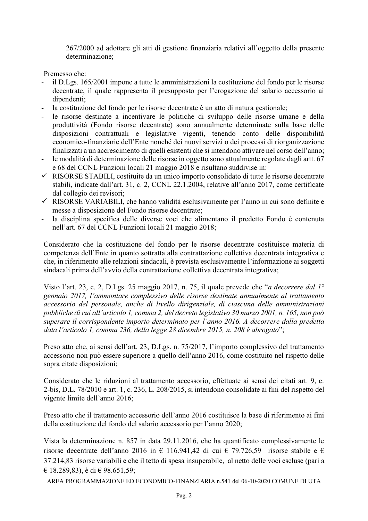267/2000 ad adottare gli atti di gestione finanziaria relativi all'oggetto della presente determinazione;

Premesso che:

- il D.Lgs. 165/2001 impone a tutte le amministrazioni la costituzione del fondo per le risorse decentrate, il quale rappresenta il presupposto per l'erogazione del salario accessorio ai dipendenti:
- la costituzione del fondo per le risorse decentrate è un atto di natura gestionale;
- le risorse destinate a incentivare le politiche di sviluppo delle risorse umane e della produttività (Fondo risorse decentrate) sono annualmente determinate sulla base delle disposizioni contrattuali e legislative vigenti, tenendo conto delle disponibilità economico-finanziarie dell'Ente nonché dei nuovi servizi o dei processi di riorganizzazione finalizzati a un accrescimento di quelli esistenti che si intendono attivare nel corso dell'anno;
- le modalità di determinazione delle risorse in oggetto sono attualmente regolate dagli artt. 67 e 68 del CCNL Funzioni locali 21 maggio 2018 e risultano suddivise in:
- $\checkmark$  RISORSE STABILI, costituite da un unico importo consolidato di tutte le risorse decentrate stabili, indicate dall'art. 31, c. 2, CCNL 22.1.2004, relative all'anno 2017, come certificate dal collegio dei revisori:
- √ RISORSE VARIABILI, che hanno validità esclusivamente per l'anno in cui sono definite e messe a disposizione del Fondo risorse decentrate;
- la disciplina specifica delle diverse voci che alimentano il predetto Fondo è contenuta  $\omega_{\rm{eff}}$ nell'art. 67 del CCNL Funzioni locali 21 maggio 2018:

Considerato che la costituzione del fondo per le risorse decentrate costituisce materia di competenza dell'Ente in quanto sottratta alla contrattazione collettiva decentrata integrativa e che, in riferimento alle relazioni sindacali, è prevista esclusivamente l'informazione ai soggetti sindacali prima dell'avvio della contrattazione collettiva decentrata integrativa;

Visto l'art. 23, c. 2, D.Lgs. 25 maggio 2017, n. 75, il quale prevede che "a decorrere dal 1° gennaio 2017, l'ammontare complessivo delle risorse destinate annualmente al trattamento accessorio del personale, anche di livello dirigenziale, di ciascuna delle amministrazioni pubbliche di cui all'articolo 1, comma 2, del decreto legislativo 30 marzo 2001, n. 165, non può superare il corrispondente importo determinato per l'anno 2016. A decorrere dalla predetta data l'articolo 1, comma 236, della legge 28 dicembre 2015, n. 208 è abrogato";

Preso atto che, ai sensi dell'art. 23, D.Lgs. n. 75/2017, l'importo complessivo del trattamento accessorio non può essere superiore a quello dell'anno 2016, come costituito nel rispetto delle sopra citate disposizioni;

Considerato che le riduzioni al trattamento accessorio, effettuate ai sensi dei citati art. 9, c. 2-bis, D.L. 78/2010 e art. 1, c. 236, L. 208/2015, si intendono consolidate ai fini del rispetto del vigente limite dell'anno 2016;

Preso atto che il trattamento accessorio dell'anno 2016 costituisce la base di riferimento ai fini della costituzione del fondo del salario accessorio per l'anno 2020;

Vista la determinazione n. 857 in data 29.11.2016, che ha quantificato complessivamente le risorse decentrate dell'anno 2016 in  $\epsilon$  116.941.42 di cui  $\epsilon$  79.726.59 risorse stabile e  $\epsilon$ 37.214,83 risorse variabili e che il tetto di spesa insuperabile, al netto delle voci escluse (pari a € 18.289,83), è di € 98.651,59;

AREA PROGRAMMAZIONE ED ECONOMICO-FINANZIARIA n.541 del 06-10-2020 COMUNE DI UTA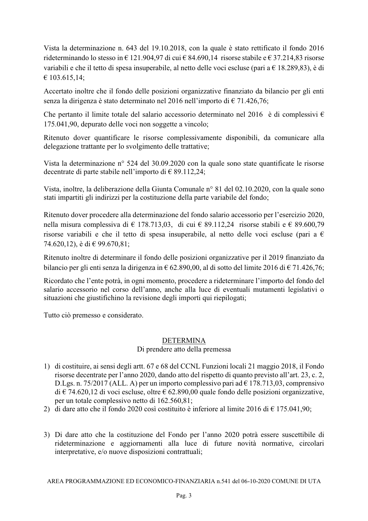Vista la determinazione n. 643 del 19.10.2018, con la quale è stato rettificato il fondo 2016 rideterminando lo stesso in  $\in$  121.904.97 di cui  $\in$  84.690.14 risorse stabile e  $\in$  37.214.83 risorse variabili e che il tetto di spesa insuperabile, al netto delle voci escluse (pari a  $\epsilon$  18.289.83), è di  $€ 103.615,14;$ 

Accertato inoltre che il fondo delle posizioni organizzative finanziato da bilancio per gli enti senza la dirigenza è stato determinato nel 2016 nell'importo di  $\epsilon$  71.426.76;

Che pertanto il limite totale del salario accessorio determinato nel 2016 è di complessivi  $\epsilon$ 175.041,90, depurato delle voci non soggette a vincolo;

Ritenuto dover quantificare le risorse complessivamente disponibili, da comunicare alla delegazione trattante per lo svolgimento delle trattative;

Vista la determinazione nº 524 del 30.09.2020 con la quale sono state quantificate le risorse decentrate di parte stabile nell'importo di  $\in$  89.112.24;

Vista, inoltre, la deliberazione della Giunta Comunale n° 81 del 02.10.2020, con la quale sono stati impartiti gli indirizzi per la costituzione della parte variabile del fondo;

Ritenuto dover procedere alla determinazione del fondo salario accessorio per l'esercizio 2020, nella misura complessiva di  $\in$  178.713,03, di cui  $\in$  89.112,24 risorse stabili e  $\in$  89.600,79 risorse variabili e che il tetto di spesa insuperabile, al netto delle voci escluse (pari a  $\epsilon$ ) 74.620,12), è di  $\in$  99.670,81;

Ritenuto inoltre di determinare il fondo delle posizioni organizzative per il 2019 finanziato da bilancio per gli enti senza la dirigenza in  $\epsilon$  62.890,00, al di sotto del limite 2016 di  $\epsilon$  71.426,76;

Ricordato che l'ente potrà, in ogni momento, procedere a rideterminare l'importo del fondo del salario accessorio nel corso dell'anno, anche alla luce di eventuali mutamenti legislativi o situazioni che giustifichino la revisione degli importi qui riepilogati;

Tutto ciò premesso e considerato.

#### DETERMINA

Di prendere atto della premessa

- 1) di costituire, ai sensi degli artt. 67 e 68 del CCNL Funzioni locali 21 maggio 2018, il Fondo risorse decentrate per l'anno 2020, dando atto del rispetto di quanto previsto all'art. 23, c. 2, D.Lgs. n. 75/2017 (ALL. A) per un importo complessivo pari ad  $\in$  178.713.03, comprensivo di  $\in$  74.620,12 di voci escluse, oltre  $\in$  62.890,00 quale fondo delle posizioni organizzative, per un totale complessivo netto di 162.560,81;
- 2) di dare atto che il fondo 2020 così costituito è inferiore al limite 2016 di  $\epsilon$  175.041,90;
- 3) Di dare atto che la costituzione del Fondo per l'anno 2020 potrà essere suscettibile di rideterminazione e aggiornamenti alla luce di future novità normative, circolari interpretative, e/o nuove disposizioni contrattuali;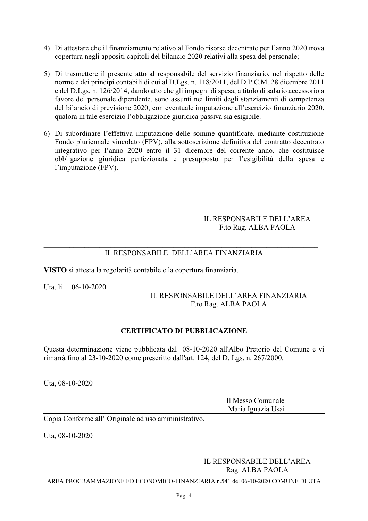- 4) Di attestare che il finanziamento relativo al Fondo risorse decentrate per l'anno 2020 trova copertura negli appositi capitoli del bilancio 2020 relativi alla spesa del personale;
- 5) Di trasmettere il presente atto al responsabile del servizio finanziario, nel rispetto delle norme e dei principi contabili di cui al D.Lgs. n. 118/2011, del D.P.C.M. 28 dicembre 2011 e del D.Lgs. n. 126/2014, dando atto che gli impegni di spesa, a titolo di salario accessorio a favore del personale dipendente, sono assunti nei limiti degli stanziamenti di competenza del bilancio di previsione 2020, con eventuale imputazione all'esercizio finanziario 2020, qualora in tale esercizio l'obbligazione giuridica passiva sia esigibile.
- 6) Di subordinare l'effettiva imputazione delle somme quantificate, mediante costituzione Fondo pluriennale vincolato (FPV), alla sottoscrizione definitiva del contratto decentrato integrativo per l'anno 2020 entro il 31 dicembre del corrente anno, che costituisce obbligazione giuridica perfezionata e presupposto per l'esigibilità della spesa e l'imputazione (FPV).

#### IL RESPONSABILE DELL'AREA F.to Rag. ALBA PAOLA

# IL RESPONSABILE DELL'AREA FINANZIARIA

VISTO si attesta la regolarità contabile e la copertura finanziaria.

Uta, li 06-10-2020

#### IL RESPONSABILE DELL'AREA FINANZIARIA F.to Rag. ALBA PAOLA

# **CERTIFICATO DI PUBBLICAZIONE**

Questa determinazione viene pubblicata dal 08-10-2020 all'Albo Pretorio del Comune e vi rimarrà fino al 23-10-2020 come prescritto dall'art. 124, del D. Les. n. 267/2000.

Uta, 08-10-2020

Il Messo Comunale Maria Ignazia Usai

Copia Conforme all'Originale ad uso amministrativo.

Uta, 08-10-2020

**IL RESPONSABILE DELL'AREA** Rag. ALBA PAOLA

AREA PROGRAMMAZIONE ED ECONOMICO-FINANZIARIA n.541 del 06-10-2020 COMUNE DI UTA